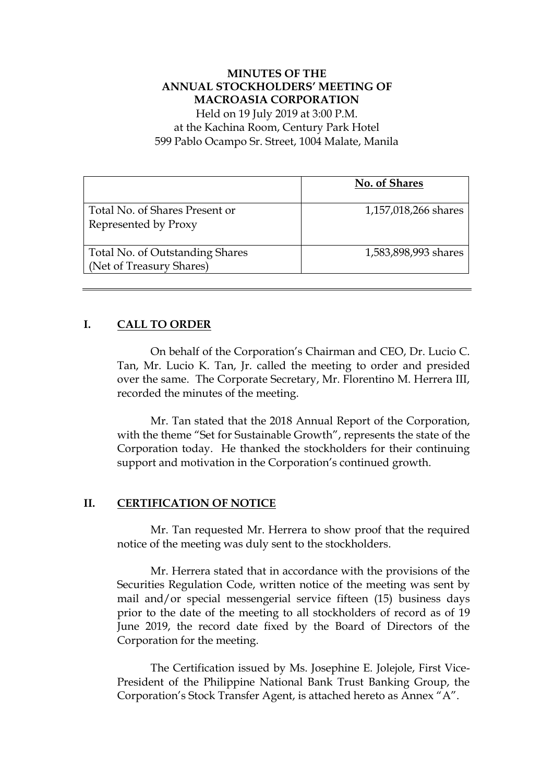# **MINUTES OF THE ANNUAL STOCKHOLDERS' MEETING OF MACROASIA CORPORATION**

Held on 19 July 2019 at 3:00 P.M. at the Kachina Room, Century Park Hotel 599 Pablo Ocampo Sr. Street, 1004 Malate, Manila

|                                                             | No. of Shares        |
|-------------------------------------------------------------|----------------------|
| Total No. of Shares Present or<br>Represented by Proxy      | 1,157,018,266 shares |
| Total No. of Outstanding Shares<br>(Net of Treasury Shares) | 1,583,898,993 shares |

# **I. CALL TO ORDER**

On behalf of the Corporation's Chairman and CEO, Dr. Lucio C. Tan, Mr. Lucio K. Tan, Jr. called the meeting to order and presided over the same. The Corporate Secretary, Mr. Florentino M. Herrera III, recorded the minutes of the meeting.

Mr. Tan stated that the 2018 Annual Report of the Corporation, with the theme "Set for Sustainable Growth", represents the state of the Corporation today. He thanked the stockholders for their continuing support and motivation in the Corporation's continued growth.

# **II. CERTIFICATION OF NOTICE**

Mr. Tan requested Mr. Herrera to show proof that the required notice of the meeting was duly sent to the stockholders.

Mr. Herrera stated that in accordance with the provisions of the Securities Regulation Code, written notice of the meeting was sent by mail and/or special messengerial service fifteen (15) business days prior to the date of the meeting to all stockholders of record as of 19 June 2019, the record date fixed by the Board of Directors of the Corporation for the meeting.

The Certification issued by Ms. Josephine E. Jolejole, First Vice-President of the Philippine National Bank Trust Banking Group, the Corporation's Stock Transfer Agent, is attached hereto as Annex "A".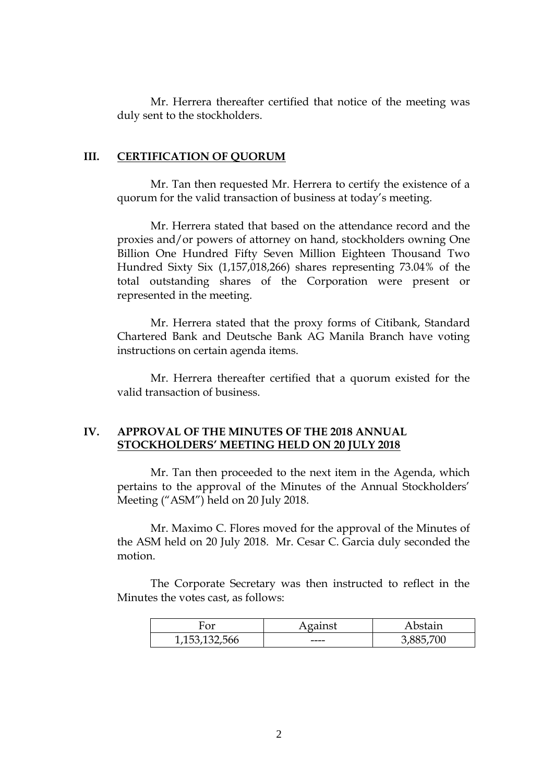Mr. Herrera thereafter certified that notice of the meeting was duly sent to the stockholders.

#### **III. CERTIFICATION OF QUORUM**

Mr. Tan then requested Mr. Herrera to certify the existence of a quorum for the valid transaction of business at today's meeting.

Mr. Herrera stated that based on the attendance record and the proxies and/or powers of attorney on hand, stockholders owning One Billion One Hundred Fifty Seven Million Eighteen Thousand Two Hundred Sixty Six (1,157,018,266) shares representing 73.04% of the total outstanding shares of the Corporation were present or represented in the meeting.

Mr. Herrera stated that the proxy forms of Citibank, Standard Chartered Bank and Deutsche Bank AG Manila Branch have voting instructions on certain agenda items.

Mr. Herrera thereafter certified that a quorum existed for the valid transaction of business.

## **IV. APPROVAL OF THE MINUTES OF THE 2018 ANNUAL STOCKHOLDERS' MEETING HELD ON 20 JULY 2018**

Mr. Tan then proceeded to the next item in the Agenda, which pertains to the approval of the Minutes of the Annual Stockholders' Meeting ("ASM") held on 20 July 2018.

Mr. Maximo C. Flores moved for the approval of the Minutes of the ASM held on 20 July 2018. Mr. Cesar C. Garcia duly seconded the motion.

The Corporate Secretary was then instructed to reflect in the Minutes the votes cast, as follows:

| or               | .eainst | bstain |
|------------------|---------|--------|
| 1, 153, 132, 566 | ----    |        |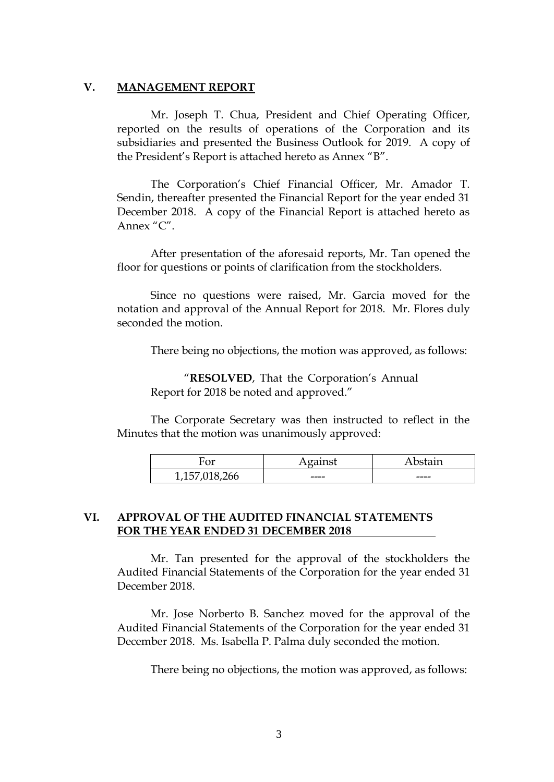### **V. MANAGEMENT REPORT**

Mr. Joseph T. Chua, President and Chief Operating Officer, reported on the results of operations of the Corporation and its subsidiaries and presented the Business Outlook for 2019. A copy of the President's Report is attached hereto as Annex "B".

The Corporation's Chief Financial Officer, Mr. Amador T. Sendin, thereafter presented the Financial Report for the year ended 31 December 2018. A copy of the Financial Report is attached hereto as Annex "C".

After presentation of the aforesaid reports, Mr. Tan opened the floor for questions or points of clarification from the stockholders.

Since no questions were raised, Mr. Garcia moved for the notation and approval of the Annual Report for 2018. Mr. Flores duly seconded the motion.

There being no objections, the motion was approved, as follows:

"**RESOLVED**, That the Corporation's Annual Report for 2018 be noted and approved."

The Corporate Secretary was then instructed to reflect in the Minutes that the motion was unanimously approved:

| ∼<br>"UI           | $-220$ | $-1$<br>.<br>. |
|--------------------|--------|----------------|
| ь<br>76 V V<br>ᅩノㅗ | ----   | ----           |

### **VI. APPROVAL OF THE AUDITED FINANCIAL STATEMENTS FOR THE YEAR ENDED 31 DECEMBER 2018 .**

Mr. Tan presented for the approval of the stockholders the Audited Financial Statements of the Corporation for the year ended 31 December 2018.

Mr. Jose Norberto B. Sanchez moved for the approval of the Audited Financial Statements of the Corporation for the year ended 31 December 2018. Ms. Isabella P. Palma duly seconded the motion.

There being no objections, the motion was approved, as follows: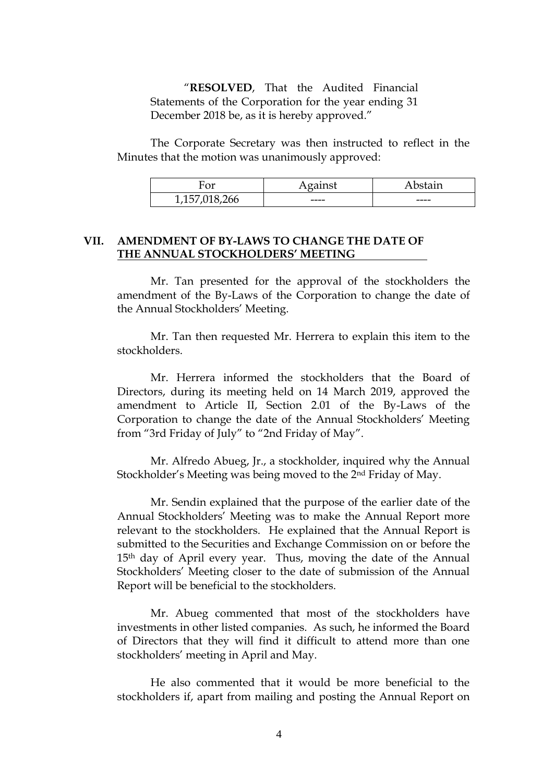"**RESOLVED**, That the Audited Financial Statements of the Corporation for the year ending 31 December 2018 be, as it is hereby approved."

The Corporate Secretary was then instructed to reflect in the Minutes that the motion was unanimously approved:

| $\mathbf{v}$               |      | $-1$<br>التقاسير<br>-- |
|----------------------------|------|------------------------|
| ∽<br>'nh<br>- 1<br>∸∽<br>ັ | ---- | ----                   |

# **VII. AMENDMENT OF BY-LAWS TO CHANGE THE DATE OF THE ANNUAL STOCKHOLDERS' MEETING .**

Mr. Tan presented for the approval of the stockholders the amendment of the By-Laws of the Corporation to change the date of the Annual Stockholders' Meeting.

Mr. Tan then requested Mr. Herrera to explain this item to the stockholders.

Mr. Herrera informed the stockholders that the Board of Directors, during its meeting held on 14 March 2019, approved the amendment to Article II, Section 2.01 of the By-Laws of the Corporation to change the date of the Annual Stockholders' Meeting from "3rd Friday of July" to "2nd Friday of May".

Mr. Alfredo Abueg, Jr., a stockholder, inquired why the Annual Stockholder's Meeting was being moved to the 2nd Friday of May.

Mr. Sendin explained that the purpose of the earlier date of the Annual Stockholders' Meeting was to make the Annual Report more relevant to the stockholders. He explained that the Annual Report is submitted to the Securities and Exchange Commission on or before the 15th day of April every year. Thus, moving the date of the Annual Stockholders' Meeting closer to the date of submission of the Annual Report will be beneficial to the stockholders.

Mr. Abueg commented that most of the stockholders have investments in other listed companies. As such, he informed the Board of Directors that they will find it difficult to attend more than one stockholders' meeting in April and May.

He also commented that it would be more beneficial to the stockholders if, apart from mailing and posting the Annual Report on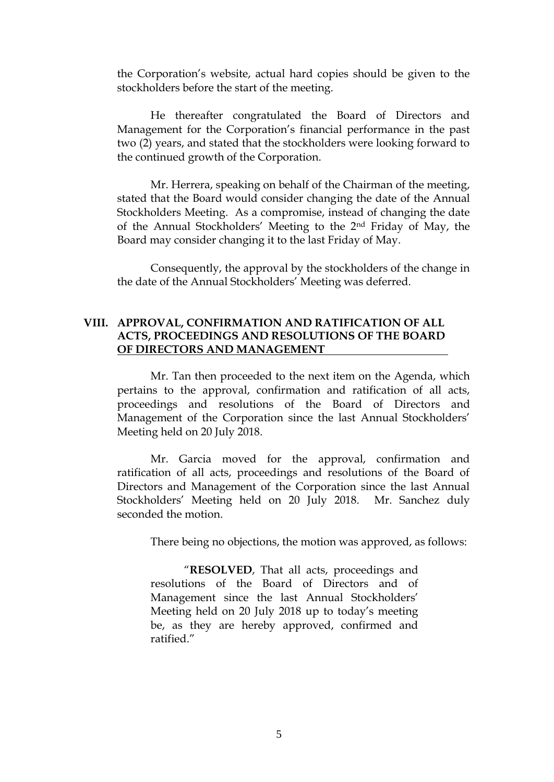the Corporation's website, actual hard copies should be given to the stockholders before the start of the meeting.

He thereafter congratulated the Board of Directors and Management for the Corporation's financial performance in the past two (2) years, and stated that the stockholders were looking forward to the continued growth of the Corporation.

Mr. Herrera, speaking on behalf of the Chairman of the meeting, stated that the Board would consider changing the date of the Annual Stockholders Meeting. As a compromise, instead of changing the date of the Annual Stockholders' Meeting to the 2nd Friday of May, the Board may consider changing it to the last Friday of May.

Consequently, the approval by the stockholders of the change in the date of the Annual Stockholders' Meeting was deferred.

# **VIII. APPROVAL, CONFIRMATION AND RATIFICATION OF ALL ACTS, PROCEEDINGS AND RESOLUTIONS OF THE BOARD OF DIRECTORS AND MANAGEMENT .**

Mr. Tan then proceeded to the next item on the Agenda, which pertains to the approval, confirmation and ratification of all acts, proceedings and resolutions of the Board of Directors and Management of the Corporation since the last Annual Stockholders' Meeting held on 20 July 2018.

Mr. Garcia moved for the approval, confirmation and ratification of all acts, proceedings and resolutions of the Board of Directors and Management of the Corporation since the last Annual Stockholders' Meeting held on 20 July 2018. Mr. Sanchez duly seconded the motion.

There being no objections, the motion was approved, as follows:

"**RESOLVED**, That all acts, proceedings and resolutions of the Board of Directors and of Management since the last Annual Stockholders' Meeting held on 20 July 2018 up to today's meeting be, as they are hereby approved, confirmed and ratified."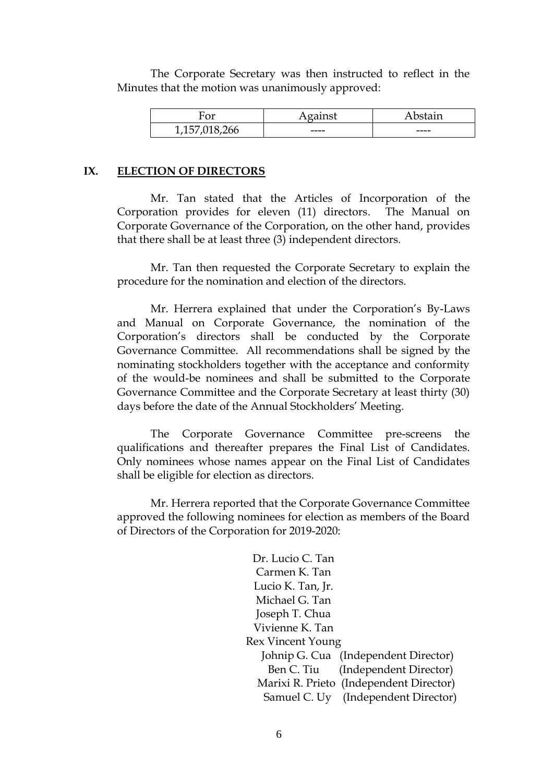The Corporate Secretary was then instructed to reflect in the Minutes that the motion was unanimously approved:

| $\sim$<br>vμ                                       | $\sim$ $\sim$ $\sim$ | $\sim$ - $\sim$ |
|----------------------------------------------------|----------------------|-----------------|
| 566<br>$\overline{\phantom{a}}$<br>7∸∪∪<br>∸∽<br>ັ | ----                 | ----            |

### **IX. ELECTION OF DIRECTORS**

Mr. Tan stated that the Articles of Incorporation of the Corporation provides for eleven (11) directors. The Manual on Corporate Governance of the Corporation, on the other hand, provides that there shall be at least three (3) independent directors.

Mr. Tan then requested the Corporate Secretary to explain the procedure for the nomination and election of the directors.

Mr. Herrera explained that under the Corporation's By-Laws and Manual on Corporate Governance, the nomination of the Corporation's directors shall be conducted by the Corporate Governance Committee. All recommendations shall be signed by the nominating stockholders together with the acceptance and conformity of the would-be nominees and shall be submitted to the Corporate Governance Committee and the Corporate Secretary at least thirty (30) days before the date of the Annual Stockholders' Meeting.

The Corporate Governance Committee pre-screens the qualifications and thereafter prepares the Final List of Candidates. Only nominees whose names appear on the Final List of Candidates shall be eligible for election as directors.

Mr. Herrera reported that the Corporate Governance Committee approved the following nominees for election as members of the Board of Directors of the Corporation for 2019-2020:

| Dr. Lucio C. Tan                        |
|-----------------------------------------|
| Carmen K. Tan                           |
| Lucio K. Tan, Jr.                       |
| Michael G. Tan                          |
| Joseph T. Chua                          |
| Vivienne K. Tan                         |
| Rex Vincent Young                       |
| Johnip G. Cua (Independent Director)    |
| Ben C. Tiu (Independent Director)       |
| Marixi R. Prieto (Independent Director) |
| Samuel C. Uy (Independent Director)     |
|                                         |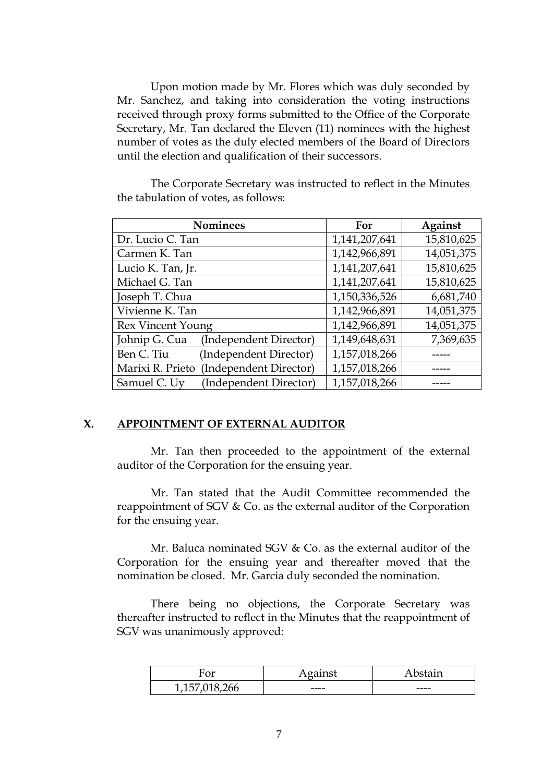Upon motion made by Mr. Flores which was duly seconded by Mr. Sanchez, and taking into consideration the voting instructions received through proxy forms submitted to the Office of the Corporate Secretary, Mr. Tan declared the Eleven (11) nominees with the highest number of votes as the duly elected members of the Board of Directors until the election and qualification of their successors.

| <b>Nominees</b>                            | For           | Against    |
|--------------------------------------------|---------------|------------|
| Dr. Lucio C. Tan                           | 1,141,207,641 | 15,810,625 |
| Carmen K. Tan                              | 1,142,966,891 | 14,051,375 |
| Lucio K. Tan, Jr.                          | 1,141,207,641 | 15,810,625 |
| Michael G. Tan                             | 1,141,207,641 | 15,810,625 |
| Joseph T. Chua                             | 1,150,336,526 | 6,681,740  |
| Vivienne K. Tan                            | 1,142,966,891 | 14,051,375 |
| Rex Vincent Young                          | 1,142,966,891 | 14,051,375 |
| Johnip G. Cua<br>(Independent Director)    | 1,149,648,631 | 7,369,635  |
| (Independent Director)<br>Ben C. Tiu       | 1,157,018,266 |            |
| Marixi R. Prieto<br>(Independent Director) | 1,157,018,266 |            |
| (Independent Director)<br>Samuel C. Uy     | 1,157,018,266 |            |

The Corporate Secretary was instructed to reflect in the Minutes the tabulation of votes, as follows:

### **X. APPOINTMENT OF EXTERNAL AUDITOR**

Mr. Tan then proceeded to the appointment of the external auditor of the Corporation for the ensuing year.

Mr. Tan stated that the Audit Committee recommended the reappointment of SGV & Co. as the external auditor of the Corporation for the ensuing year.

Mr. Baluca nominated SGV & Co. as the external auditor of the Corporation for the ensuing year and thereafter moved that the nomination be closed. Mr. Garcia duly seconded the nomination.

There being no objections, the Corporate Secretary was thereafter instructed to reflect in the Minutes that the reappointment of SGV was unanimously approved:

| ⌒<br>$\mathbf{v}$      | $\sim$ $\sim$ $\sim$ | $-1 - 1$ |
|------------------------|----------------------|----------|
| ъ.<br>018,200<br>1/10/ | ----                 | ----     |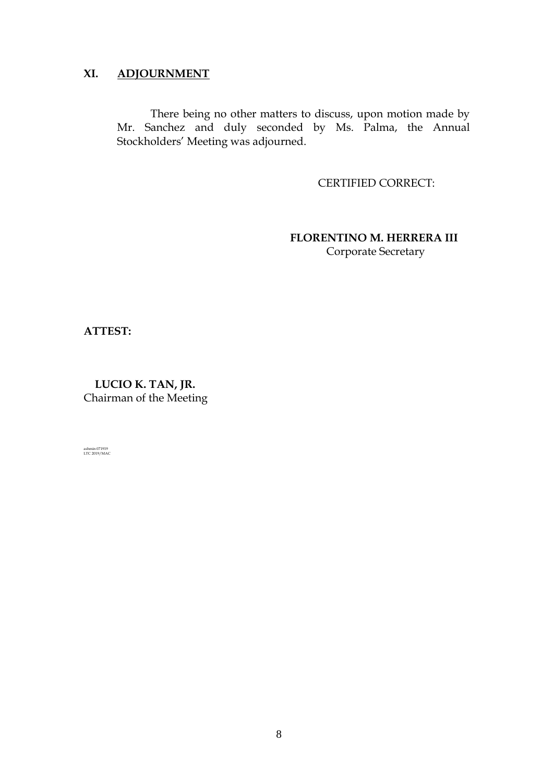# **XI. ADJOURNMENT**

There being no other matters to discuss, upon motion made by Mr. Sanchez and duly seconded by Ms. Palma, the Annual Stockholders' Meeting was adjourned.

CERTIFIED CORRECT:

 **FLORENTINO M. HERRERA III** Corporate Secretary

**ATTEST:**

 **LUCIO K. TAN, JR.** Chairman of the Meeting

ashmin 071919 LTC 2019/MAC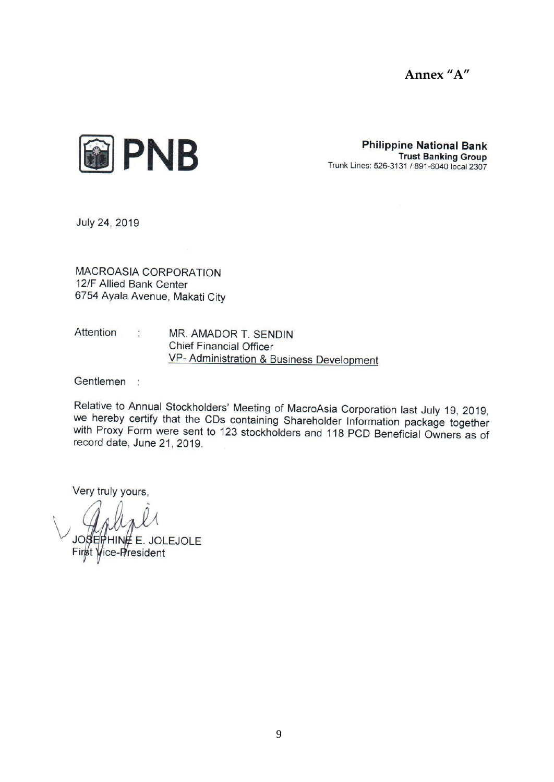



**Philippine National Bank Trust Banking Group** Trunk Lines: 526-3131 / 891-6040 local 2307

July 24, 2019

**MACROASIA CORPORATION** 12/F Allied Bank Center 6754 Ayala Avenue, Makati City

Attention  $\mathcal{L}^{\mathcal{L}}$  ,  $\mathcal{L}^{\mathcal{L}}$ MR. AMADOR T. SENDIN **Chief Financial Officer** VP- Administration & Business Development

Gentlemen :

Relative to Annual Stockholders' Meeting of MacroAsia Corporation last July 19, 2019, we hereby certify that the CDs containing Shareholder Information package together with Proxy Form were sent to 123 stockholders and 118 PCD Beneficial Owners as of record date, June 21, 2019.

Very truly yours,

**HINE E. JOLEJOLE** ice-P/resident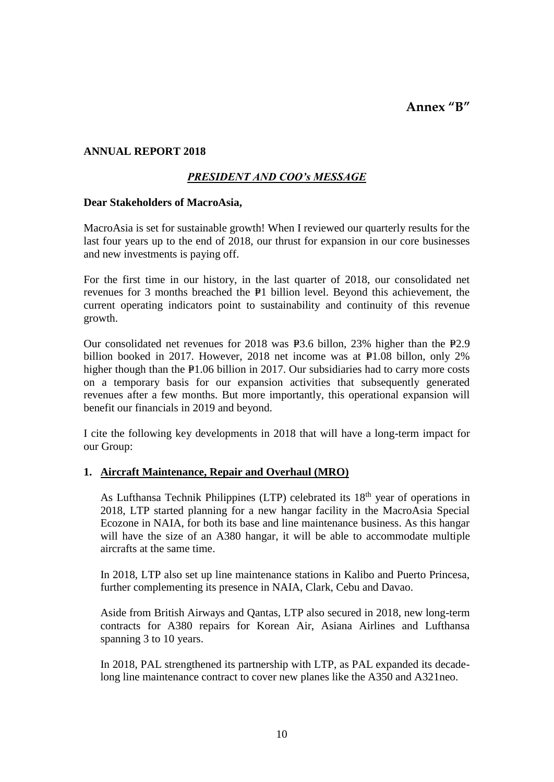**Annex "B"**

# **ANNUAL REPORT 2018**

# *PRESIDENT AND COO's MESSAGE*

#### **Dear Stakeholders of MacroAsia,**

MacroAsia is set for sustainable growth! When I reviewed our quarterly results for the last four years up to the end of 2018, our thrust for expansion in our core businesses and new investments is paying off.

For the first time in our history, in the last quarter of 2018, our consolidated net revenues for 3 months breached the P1 billion level. Beyond this achievement, the current operating indicators point to sustainability and continuity of this revenue growth.

Our consolidated net revenues for  $2018$  was  $\text{\textsterling}3.6$  billon,  $23\%$  higher than the  $\text{\textsterling}2.9$ billion booked in 2017. However, 2018 net income was at  $P1.08$  billon, only 2% higher though than the  $P1.06$  billion in 2017. Our subsidiaries had to carry more costs on a temporary basis for our expansion activities that subsequently generated revenues after a few months. But more importantly, this operational expansion will benefit our financials in 2019 and beyond.

I cite the following key developments in 2018 that will have a long-term impact for our Group:

### **1. Aircraft Maintenance, Repair and Overhaul (MRO)**

As Lufthansa Technik Philippines (LTP) celebrated its 18<sup>th</sup> year of operations in 2018, LTP started planning for a new hangar facility in the MacroAsia Special Ecozone in NAIA, for both its base and line maintenance business. As this hangar will have the size of an A380 hangar, it will be able to accommodate multiple aircrafts at the same time.

In 2018, LTP also set up line maintenance stations in Kalibo and Puerto Princesa, further complementing its presence in NAIA, Clark, Cebu and Davao.

Aside from British Airways and Qantas, LTP also secured in 2018, new long-term contracts for A380 repairs for Korean Air, Asiana Airlines and Lufthansa spanning 3 to 10 years.

In 2018, PAL strengthened its partnership with LTP, as PAL expanded its decadelong line maintenance contract to cover new planes like the A350 and A321neo.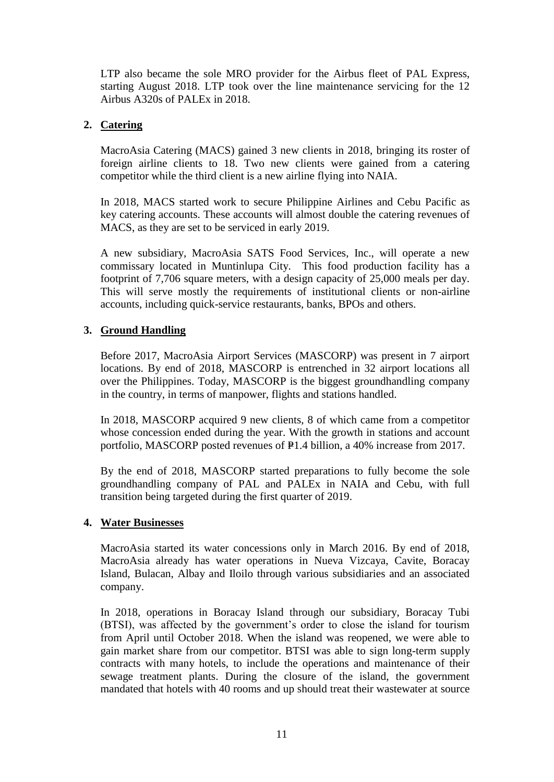LTP also became the sole MRO provider for the Airbus fleet of PAL Express, starting August 2018. LTP took over the line maintenance servicing for the 12 Airbus A320s of PALEx in 2018.

# **2. Catering**

MacroAsia Catering (MACS) gained 3 new clients in 2018, bringing its roster of foreign airline clients to 18. Two new clients were gained from a catering competitor while the third client is a new airline flying into NAIA.

In 2018, MACS started work to secure Philippine Airlines and Cebu Pacific as key catering accounts. These accounts will almost double the catering revenues of MACS, as they are set to be serviced in early 2019.

A new subsidiary, MacroAsia SATS Food Services, Inc., will operate a new commissary located in Muntinlupa City. This food production facility has a footprint of 7,706 square meters, with a design capacity of 25,000 meals per day. This will serve mostly the requirements of institutional clients or non-airline accounts, including quick-service restaurants, banks, BPOs and others.

# **3. Ground Handling**

Before 2017, MacroAsia Airport Services (MASCORP) was present in 7 airport locations. By end of 2018, MASCORP is entrenched in 32 airport locations all over the Philippines. Today, MASCORP is the biggest groundhandling company in the country, in terms of manpower, flights and stations handled.

In 2018, MASCORP acquired 9 new clients, 8 of which came from a competitor whose concession ended during the year. With the growth in stations and account portfolio, MASCORP posted revenues of  $P1.4$  billion, a 40% increase from 2017.

By the end of 2018, MASCORP started preparations to fully become the sole groundhandling company of PAL and PALEx in NAIA and Cebu, with full transition being targeted during the first quarter of 2019.

### **4. Water Businesses**

MacroAsia started its water concessions only in March 2016. By end of 2018, MacroAsia already has water operations in Nueva Vizcaya, Cavite, Boracay Island, Bulacan, Albay and Iloilo through various subsidiaries and an associated company.

In 2018, operations in Boracay Island through our subsidiary, Boracay Tubi (BTSI), was affected by the government's order to close the island for tourism from April until October 2018. When the island was reopened, we were able to gain market share from our competitor. BTSI was able to sign long-term supply contracts with many hotels, to include the operations and maintenance of their sewage treatment plants. During the closure of the island, the government mandated that hotels with 40 rooms and up should treat their wastewater at source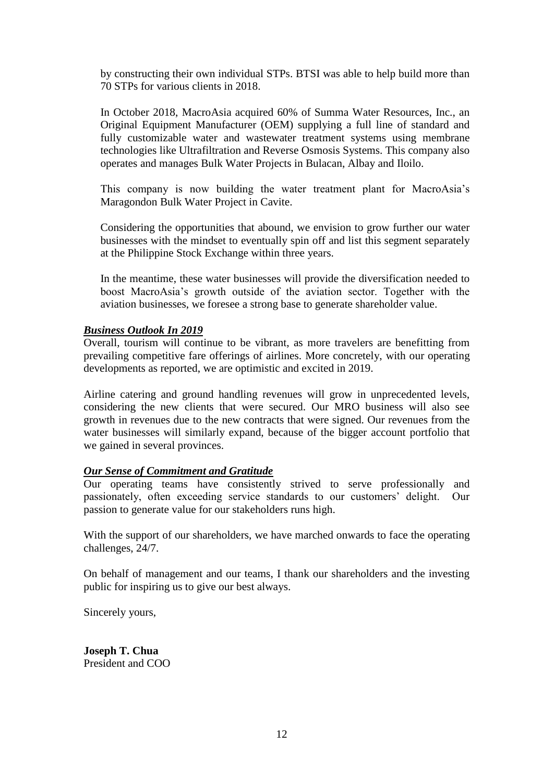by constructing their own individual STPs. BTSI was able to help build more than 70 STPs for various clients in 2018.

In October 2018, MacroAsia acquired 60% of Summa Water Resources, Inc., an Original Equipment Manufacturer (OEM) supplying a full line of standard and fully customizable water and wastewater treatment systems using membrane technologies like Ultrafiltration and Reverse Osmosis Systems. This company also operates and manages Bulk Water Projects in Bulacan, Albay and Iloilo.

This company is now building the water treatment plant for MacroAsia's Maragondon Bulk Water Project in Cavite.

Considering the opportunities that abound, we envision to grow further our water businesses with the mindset to eventually spin off and list this segment separately at the Philippine Stock Exchange within three years.

In the meantime, these water businesses will provide the diversification needed to boost MacroAsia's growth outside of the aviation sector. Together with the aviation businesses, we foresee a strong base to generate shareholder value.

### *Business Outlook In 2019*

Overall, tourism will continue to be vibrant, as more travelers are benefitting from prevailing competitive fare offerings of airlines. More concretely, with our operating developments as reported, we are optimistic and excited in 2019.

Airline catering and ground handling revenues will grow in unprecedented levels, considering the new clients that were secured. Our MRO business will also see growth in revenues due to the new contracts that were signed. Our revenues from the water businesses will similarly expand, because of the bigger account portfolio that we gained in several provinces.

#### *Our Sense of Commitment and Gratitude*

Our operating teams have consistently strived to serve professionally and passionately, often exceeding service standards to our customers' delight. Our passion to generate value for our stakeholders runs high.

With the support of our shareholders, we have marched onwards to face the operating challenges, 24/7.

On behalf of management and our teams, I thank our shareholders and the investing public for inspiring us to give our best always.

Sincerely yours,

**Joseph T. Chua** President and COO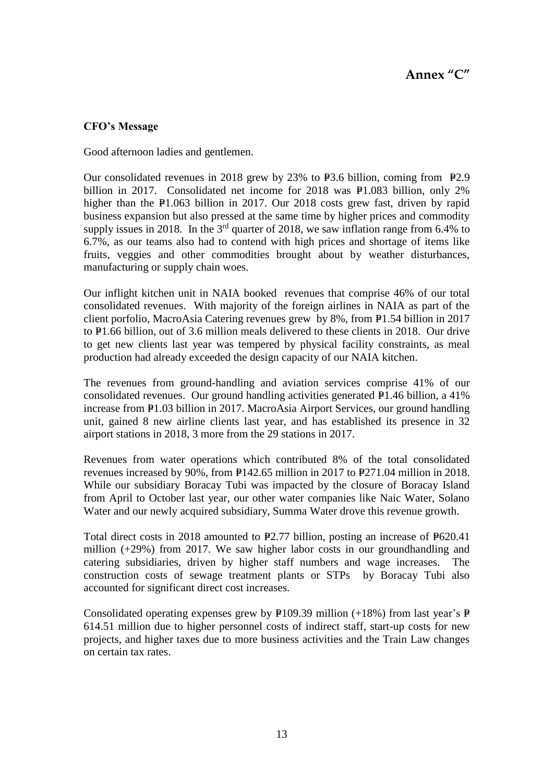# **CFO's Message**

Good afternoon ladies and gentlemen.

Our consolidated revenues in 2018 grew by 23% to  $P3.6$  billion, coming from  $P2.9$ billion in 2017. Consolidated net income for 2018 was  $P1.083$  billion, only 2% higher than the  $P1.063$  billion in 2017. Our 2018 costs grew fast, driven by rapid business expansion but also pressed at the same time by higher prices and commodity supply issues in 2018. In the  $3<sup>rd</sup>$  quarter of 2018, we saw inflation range from 6.4% to 6.7%, as our teams also had to contend with high prices and shortage of items like fruits, veggies and other commodities brought about by weather disturbances, manufacturing or supply chain woes.

Our inflight kitchen unit in NAIA booked revenues that comprise 46% of our total consolidated revenues. With majority of the foreign airlines in NAIA as part of the client porfolio, MacroAsia Catering revenues grew by  $8\%$ , from  $\mathbb{P}1.54$  billion in 2017 to  $P1.66$  billion, out of 3.6 million meals delivered to these clients in 2018. Our drive to get new clients last year was tempered by physical facility constraints, as meal production had already exceeded the design capacity of our NAIA kitchen.

The revenues from ground-handling and aviation services comprise 41% of our consolidated revenues. Our ground handling activities generated  $P1.46$  billion, a 41% increase from P1.03 billion in 2017. MacroAsia Airport Services, our ground handling unit, gained 8 new airline clients last year, and has established its presence in 32 airport stations in 2018, 3 more from the 29 stations in 2017.

Revenues from water operations which contributed 8% of the total consolidated revenues increased by 90%, from  $E142.65$  million in 2017 to  $E271.04$  million in 2018. While our subsidiary Boracay Tubi was impacted by the closure of Boracay Island from April to October last year, our other water companies like Naic Water, Solano Water and our newly acquired subsidiary, Summa Water drove this revenue growth.

Total direct costs in 2018 amounted to  $E2.77$  billion, posting an increase of  $E620.41$ million (+29%) from 2017. We saw higher labor costs in our groundhandling and catering subsidiaries, driven by higher staff numbers and wage increases. The construction costs of sewage treatment plants or STPs by Boracay Tubi also accounted for significant direct cost increases.

Consolidated operating expenses grew by P109.39 million (+18%) from last year's P 614.51 million due to higher personnel costs of indirect staff, start-up costs for new projects, and higher taxes due to more business activities and the Train Law changes on certain tax rates.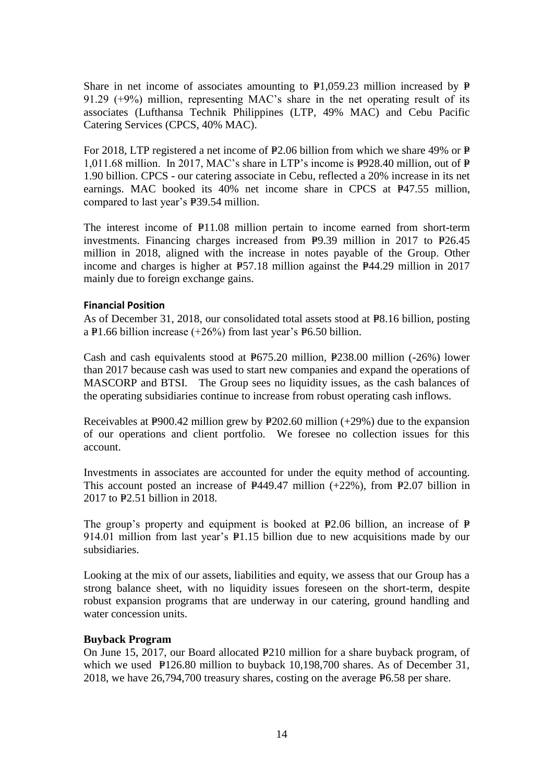Share in net income of associates amounting to  $P1,059.23$  million increased by  $P$ 91.29 (+9%) million, representing MAC's share in the net operating result of its associates (Lufthansa Technik Philippines (LTP, 49% MAC) and Cebu Pacific Catering Services (CPCS, 40% MAC).

For 2018, LTP registered a net income of  $P2.06$  billion from which we share 49% or P= 1,011.68 million. In 2017, MAC's share in LTP's income is  $P928.40$  million, out of  $P$ 1.90 billion. CPCS - our catering associate in Cebu, reflected a 20% increase in its net earnings. MAC booked its  $40\%$  net income share in CPCS at  $P47.55$  million, compared to last year's P39.54 million.

The interest income of  $P11.08$  million pertain to income earned from short-term investments. Financing charges increased from  $P9.39$  million in 2017 to  $P26.45$ million in 2018, aligned with the increase in notes payable of the Group. Other income and charges is higher at  $E$ 57.18 million against the  $E$ 44.29 million in 2017 mainly due to foreign exchange gains.

### **Financial Position**

As of December 31, 2018, our consolidated total assets stood at P8.16 billion, posting a P1.66 billion increase  $(+26%)$  from last year's P6.50 billion.

Cash and cash equivalents stood at  $E675.20$  million,  $E238.00$  million (-26%) lower than 2017 because cash was used to start new companies and expand the operations of MASCORP and BTSI. The Group sees no liquidity issues, as the cash balances of the operating subsidiaries continue to increase from robust operating cash inflows.

Receivables at P $900.42$  million grew by P $202.60$  million (+29%) due to the expansion of our operations and client portfolio. We foresee no collection issues for this account.

Investments in associates are accounted for under the equity method of accounting. This account posted an increase of  $P$ 449.47 million (+22%), from P2.07 billion in  $2017$  to  $E2.51$  billion in 2018.

The group's property and equipment is booked at  $P2.06$  billion, an increase of P 914.01 million from last year's  $P1.15$  billion due to new acquisitions made by our subsidiaries.

Looking at the mix of our assets, liabilities and equity, we assess that our Group has a strong balance sheet, with no liquidity issues foreseen on the short-term, despite robust expansion programs that are underway in our catering, ground handling and water concession units.

### **Buyback Program**

On June 15, 2017, our Board allocated P210 million for a share buyback program, of which we used  $P126.80$  million to buyback 10,198,700 shares. As of December 31, 2018, we have  $26,794,700$  treasury shares, costing on the average  $E6.58$  per share.